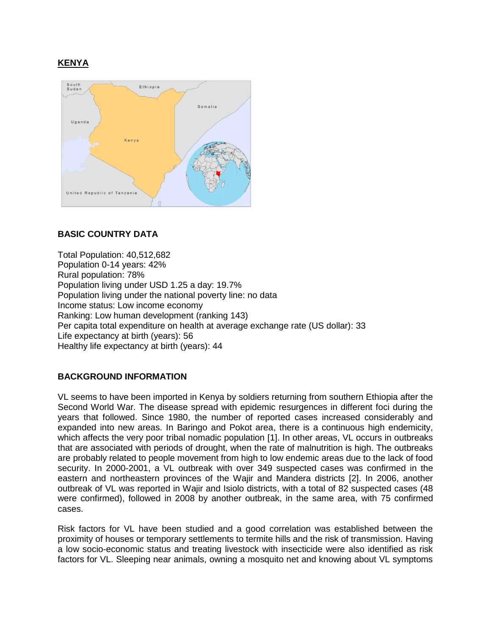# **KENYA**



# **BASIC COUNTRY DATA**

Total Population: 40,512,682 Population 0-14 years: 42% Rural population: 78% Population living under USD 1.25 a day: 19.7% Population living under the national poverty line: no data Income status: Low income economy Ranking: Low human development (ranking 143) Per capita total expenditure on health at average exchange rate (US dollar): 33 Life expectancy at birth (years): 56 Healthy life expectancy at birth (years): 44

## **BACKGROUND INFORMATION**

VL seems to have been imported in Kenya by soldiers returning from southern Ethiopia after the Second World War. The disease spread with epidemic resurgences in different foci during the years that followed. Since 1980, the number of reported cases increased considerably and expanded into new areas. In Baringo and Pokot area, there is a continuous high endemicity, which affects the very poor tribal nomadic population [1]. In other areas, VL occurs in outbreaks that are associated with periods of drought, when the rate of malnutrition is high. The outbreaks are probably related to people movement from high to low endemic areas due to the lack of food security. In 2000-2001, a VL outbreak with over 349 suspected cases was confirmed in the eastern and northeastern provinces of the Wajir and Mandera districts [2]. In 2006, another outbreak of VL was reported in Wajir and Isiolo districts, with a total of 82 suspected cases (48 were confirmed), followed in 2008 by another outbreak, in the same area, with 75 confirmed cases.

Risk factors for VL have been studied and a good correlation was established between the proximity of houses or temporary settlements to termite hills and the risk of transmission. Having a low socio-economic status and treating livestock with insecticide were also identified as risk factors for VL. Sleeping near animals, owning a mosquito net and knowing about VL symptoms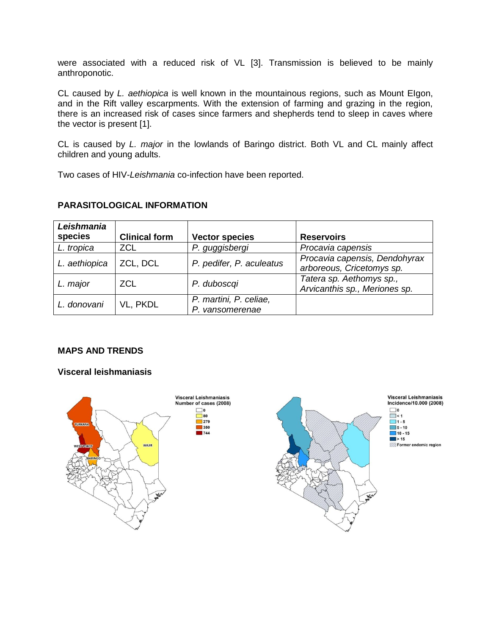were associated with a reduced risk of VL [3]. Transmission is believed to be mainly anthroponotic.

CL caused by *L. aethiopica* is well known in the mountainous regions, such as Mount EIgon, and in the Rift valley escarpments. With the extension of farming and grazing in the region, there is an increased risk of cases since farmers and shepherds tend to sleep in caves where the vector is present [1].

CL is caused by *L. major* in the lowlands of Baringo district. Both VL and CL mainly affect children and young adults.

Two cases of HIV-*Leishmania* co-infection have been reported.

| Leishmania<br>species | <b>Clinical form</b> | <b>Vector species</b>                     | <b>Reservoirs</b>                                          |
|-----------------------|----------------------|-------------------------------------------|------------------------------------------------------------|
| L. tropica            | <b>ZCL</b>           | P. guggisbergi                            | Procavia capensis                                          |
| L. aethiopica         | ZCL, DCL             | P. pedifer, P. aculeatus                  | Procavia capensis, Dendohyrax<br>arboreous, Cricetomys sp. |
| L. major              | <b>ZCL</b>           | P. duboscgi                               | Tatera sp. Aethomys sp.,<br>Arvicanthis sp., Meriones sp.  |
| L. donovani           | VL, PKDL             | P. martini, P. celiae,<br>P. vansomerenae |                                                            |

## **PARASITOLOGICAL INFORMATION**

## **MAPS AND TRENDS**

### **Visceral leishmaniasis**

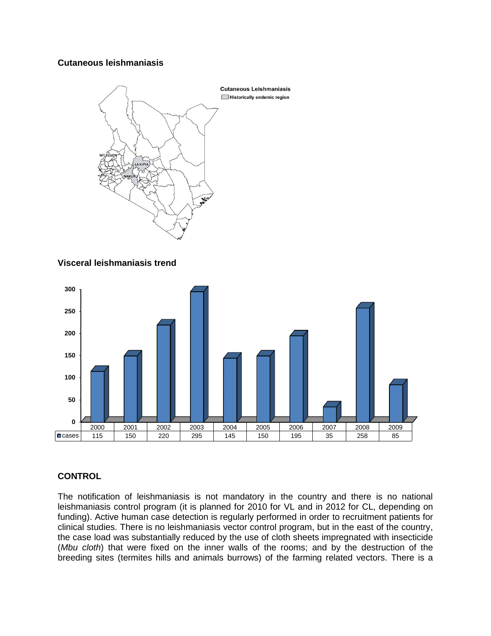## **Cutaneous leishmaniasis**



## **Visceral leishmaniasis trend**



# **CONTROL**

The notification of leishmaniasis is not mandatory in the country and there is no national leishmaniasis control program (it is planned for 2010 for VL and in 2012 for CL, depending on funding). Active human case detection is regularly performed in order to recruitment patients for clinical studies. There is no leishmaniasis vector control program, but in the east of the country, the case load was substantially reduced by the use of cloth sheets impregnated with insecticide (*Mbu cloth*) that were fixed on the inner walls of the rooms; and by the destruction of the breeding sites (termites hills and animals burrows) of the farming related vectors. There is a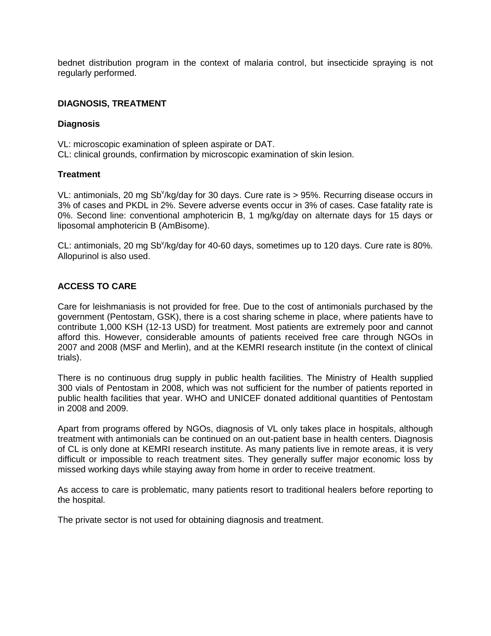bednet distribution program in the context of malaria control, but insecticide spraying is not regularly performed.

### **DIAGNOSIS, TREATMENT**

#### **Diagnosis**

VL: microscopic examination of spleen aspirate or DAT. CL: clinical grounds, confirmation by microscopic examination of skin lesion.

### **Treatment**

VL: antimonials, 20 mg Sb<sup>v</sup>/kg/day for 30 days. Cure rate is > 95%. Recurring disease occurs in 3% of cases and PKDL in 2%. Severe adverse events occur in 3% of cases. Case fatality rate is 0%. Second line: conventional amphotericin B, 1 mg/kg/day on alternate days for 15 days or liposomal amphotericin B (AmBisome).

CL: antimonials, 20 mg Sb<sup>v</sup>/kg/day for 40-60 days, sometimes up to 120 days. Cure rate is 80%. Allopurinol is also used.

## **ACCESS TO CARE**

Care for leishmaniasis is not provided for free. Due to the cost of antimonials purchased by the government (Pentostam, GSK), there is a cost sharing scheme in place, where patients have to contribute 1,000 KSH (12-13 USD) for treatment. Most patients are extremely poor and cannot afford this. However, considerable amounts of patients received free care through NGOs in 2007 and 2008 (MSF and Merlin), and at the KEMRI research institute (in the context of clinical trials).

There is no continuous drug supply in public health facilities. The Ministry of Health supplied 300 vials of Pentostam in 2008, which was not sufficient for the number of patients reported in public health facilities that year. WHO and UNICEF donated additional quantities of Pentostam in 2008 and 2009.

Apart from programs offered by NGOs, diagnosis of VL only takes place in hospitals, although treatment with antimonials can be continued on an out-patient base in health centers. Diagnosis of CL is only done at KEMRI research institute. As many patients live in remote areas, it is very difficult or impossible to reach treatment sites. They generally suffer major economic loss by missed working days while staying away from home in order to receive treatment.

As access to care is problematic, many patients resort to traditional healers before reporting to the hospital.

The private sector is not used for obtaining diagnosis and treatment.